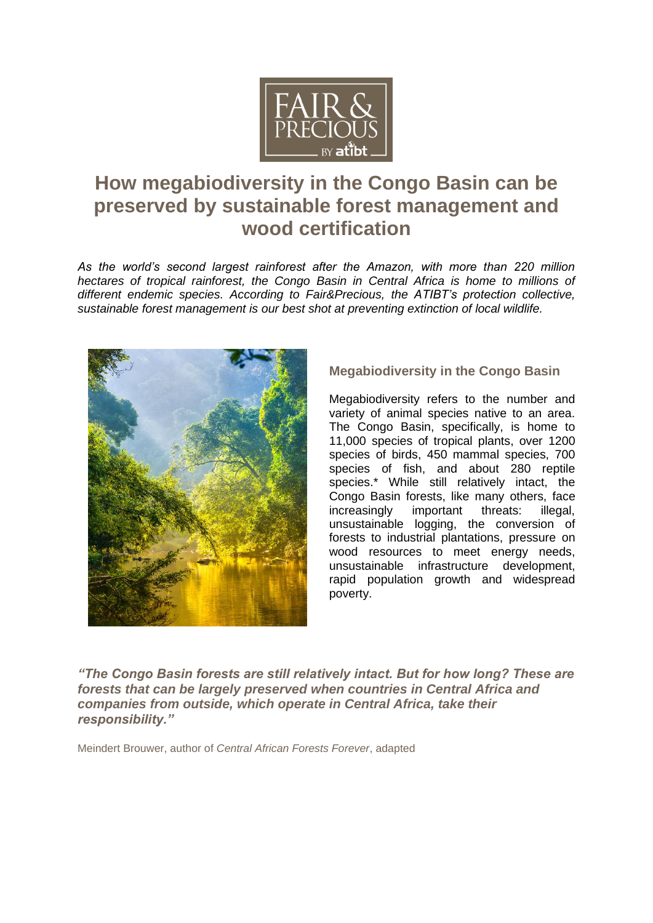

# **How megabiodiversity in the Congo Basin can be preserved by sustainable forest management and wood certification**

*As the world's second largest rainforest after the Amazon, with more than 220 million hectares of tropical rainforest, the Congo Basin in Central Africa is home to millions of different endemic species. According to Fair&Precious, the ATIBT's protection collective, sustainable forest management is our best shot at preventing extinction of local wildlife.*



## **Megabiodiversity in the Congo Basin**

Megabiodiversity refers to the number and variety of animal species native to an area. The Congo Basin, specifically, is home to 11,000 species of tropical plants, over 1200 species of birds, 450 mammal species, 700 species of fish, and about 280 reptile species.\* While still relatively intact, the Congo Basin forests, like many others, face increasingly important threats: illegal, unsustainable logging, the conversion of forests to industrial plantations, pressure on wood resources to meet energy needs, unsustainable infrastructure development, rapid population growth and widespread poverty.

*"The Congo Basin forests are still relatively intact. But for how long? These are forests that can be largely preserved when countries in Central Africa and companies from outside, which operate in Central Africa, take their responsibility."*

Meindert Brouwer, author of *Central African Forests Forever*, adapted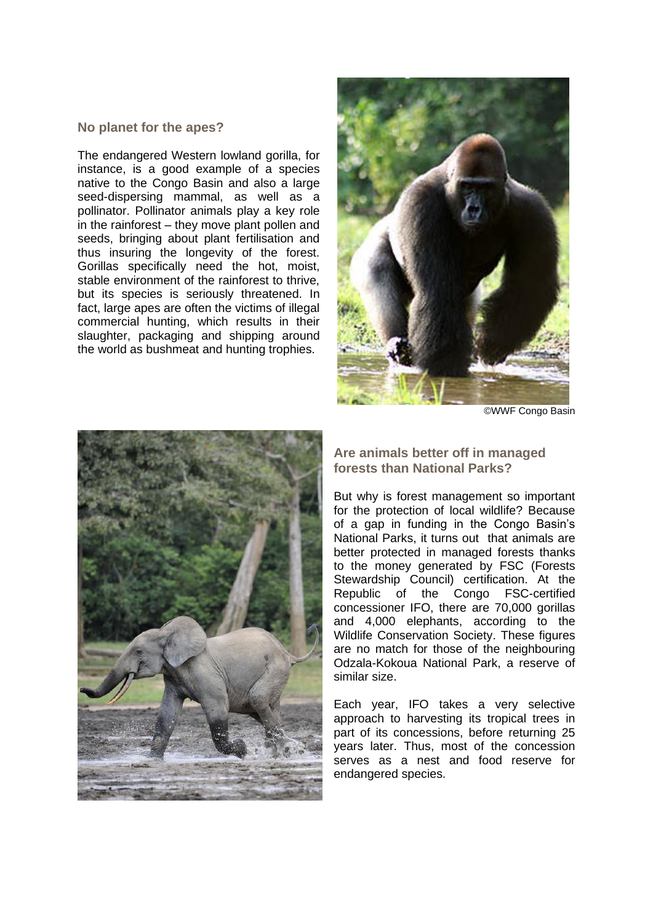#### **No planet for the apes?**

The endangered Western lowland gorilla, for instance, is a good example of a species native to the Congo Basin and also a large seed-dispersing mammal, as well as a pollinator. Pollinator animals play a key role in the rainforest – they move plant pollen and seeds, bringing about plant fertilisation and thus insuring the longevity of the forest. Gorillas specifically need the hot, moist, stable environment of the rainforest to thrive, but its species is seriously threatened. In fact, large apes are often the victims of illegal commercial hunting, which results in their slaughter, packaging and shipping around the world as bushmeat and hunting trophies.



©WWF Congo Basin



**Are animals better off in managed forests than National Parks?**

But why is forest management so important for the protection of local wildlife? Because of a gap in funding in the Congo Basin's National Parks, it turns out that animals are better protected in managed forests thanks to the money generated by FSC (Forests Stewardship Council) certification. At the Republic of the Congo FSC-certified concessioner IFO, there are 70,000 gorillas and 4,000 elephants, according to the Wildlife Conservation Society. These figures are no match for those of the neighbouring Odzala-Kokoua National Park, a reserve of similar size.

Each year, IFO takes a very selective approach to harvesting its tropical trees in part of its concessions, before returning 25 years later. Thus, most of the concession serves as a nest and food reserve for endangered species.